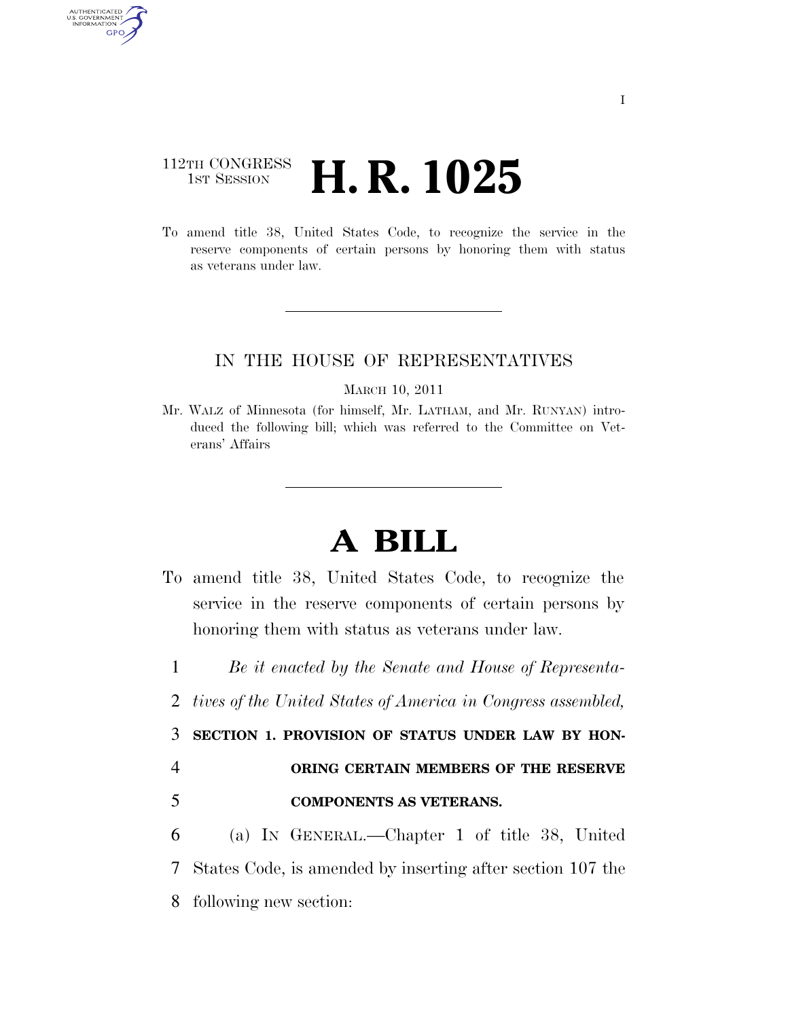## 112TH CONGRESS **1st Session H. R. 1025**

AUTHENTICATED<br>U.S. GOVERNMENT<br>INFORMATION **GPO** 

> To amend title 38, United States Code, to recognize the service in the reserve components of certain persons by honoring them with status as veterans under law.

## IN THE HOUSE OF REPRESENTATIVES

MARCH 10, 2011

Mr. WALZ of Minnesota (for himself, Mr. LATHAM, and Mr. RUNYAN) introduced the following bill; which was referred to the Committee on Veterans' Affairs

## **A BILL**

- To amend title 38, United States Code, to recognize the service in the reserve components of certain persons by honoring them with status as veterans under law.
	- 1 *Be it enacted by the Senate and House of Representa-*
	- 2 *tives of the United States of America in Congress assembled,*

3 **SECTION 1. PROVISION OF STATUS UNDER LAW BY HON-**

- 4 **ORING CERTAIN MEMBERS OF THE RESERVE**
- 5 **COMPONENTS AS VETERANS.**
- 6 (a) IN GENERAL.—Chapter 1 of title 38, United 7 States Code, is amended by inserting after section 107 the 8 following new section: